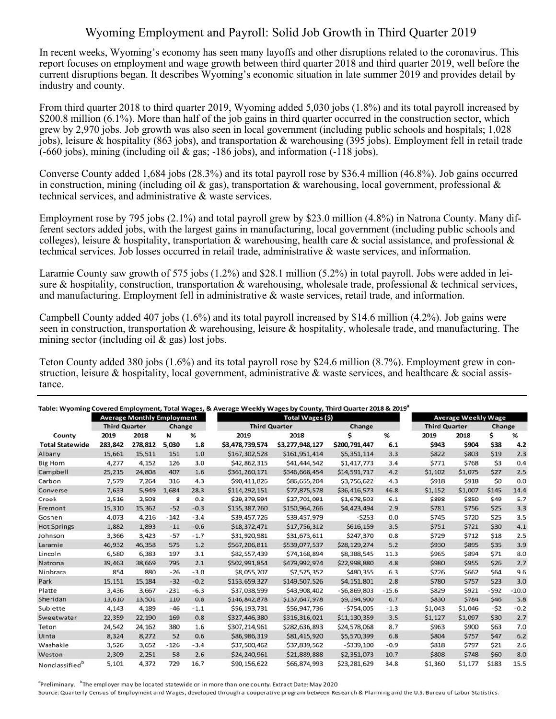## Wyoming Employment and Payroll: Solid Job Growth in Third Quarter 2019

In recent weeks, Wyoming's economy has seen many layoffs and other disruptions related to the coronavirus. This report focuses on employment and wage growth between third quarter 2018 and third quarter 2019, well before the current disruptions began. It describes Wyoming's economic situation in late summer 2019 and provides detail by industry and county.

From third quarter 2018 to third quarter 2019, Wyoming added 5,030 jobs (1.8%) and its total payroll increased by \$200.8 million (6.1%). More than half of the job gains in third quarter occurred in the construction sector, which grew by 2,970 jobs. Job growth was also seen in local government (including public schools and hospitals; 1,028 jobs), leisure & hospitality (863 jobs), and transportation & warehousing (395 jobs). Employment fell in retail trade (-660 jobs), mining (including oil & gas; -186 jobs), and information (-118 jobs).

Converse County added 1,684 jobs (28.3%) and its total payroll rose by \$36.4 million (46.8%). Job gains occurred in construction, mining (including oil & gas), transportation & warehousing, local government, professional & technical services, and administrative & waste services.

Employment rose by 795 jobs (2.1%) and total payroll grew by \$23.0 million (4.8%) in Natrona County. Many different sectors added jobs, with the largest gains in manufacturing, local government (including public schools and colleges), leisure & hospitality, transportation & warehousing, health care & social assistance, and professional & technical services. Job losses occurred in retail trade, administrative & waste services, and information.

Laramie County saw growth of 575 jobs (1.2%) and \$28.1 million (5.2%) in total payroll. Jobs were added in leisure & hospitality, construction, transportation & warehousing, wholesale trade, professional & technical services, and manufacturing. Employment fell in administrative & waste services, retail trade, and information.

Campbell County added 407 jobs (1.6%) and its total payroll increased by \$14.6 million (4.2%). Job gains were seen in construction, transportation & warehousing, leisure & hospitality, wholesale trade, and manufacturing. The mining sector (including oil & gas) lost jobs.

Teton County added 380 jobs (1.6%) and its total payroll rose by \$24.6 million (8.7%). Employment grew in construction, leisure & hospitality, local government, administrative & waste services, and healthcare  $\&$  social assistance.

|                            | <b>Average Monthly Employment</b> |         |        |        | Total Wages (\$)     |                 |               |         | <b>Average Weekly Wage</b> |         |        |         |
|----------------------------|-----------------------------------|---------|--------|--------|----------------------|-----------------|---------------|---------|----------------------------|---------|--------|---------|
|                            | <b>Third Quarter</b>              |         | Change |        | <b>Third Quarter</b> |                 | Change        |         | <b>Third Quarter</b>       |         | Change |         |
| County                     | 2019                              | 2018    | И      | %      | 2019                 | 2018            | Ś             | %       | 2019                       | 2018    | \$     | %       |
| <b>Total Statewide</b>     | 283,842                           | 278,812 | 5,030  | 1.8    | \$3,478,739,574      | \$3,277,948,127 | \$200,791,447 | 6.1     | \$943                      | \$904   | \$38   | 4.2     |
| Albany                     | 15,661                            | 15,511  | 151    | 1.0    | \$167,302,528        | \$161,951,414   | \$5,351,114   | 3.3     | \$822                      | \$803   | \$19   | 2.3     |
| <b>Big Horn</b>            | 4,277                             | 4,152   | 126    | 3.0    | \$42,862,315         | \$41,444,542    | \$1,417,773   | 3.4     | \$771                      | \$768   | \$3    | 0.4     |
| Campbell                   | 25,215                            | 24,808  | 407    | 1.6    | \$361,260,171        | \$346,668,454   | \$14,591,717  | 4.2     | \$1,102                    | \$1,075 | \$27   | 2.5     |
| Carbon                     | 7,579                             | 7,264   | 316    | 4.3    | \$90,411,826         | \$86,655,204    | \$3,756,622   | 4.3     | \$918                      | \$918   | \$0    | 0.0     |
| Converse                   | 7,633                             | 5,949   | 1,684  | 28.3   | \$114,292,151        | \$77,875,578    | \$36,416,573  | 46.8    | \$1,152                    | \$1,007 | \$145  | 14.4    |
| Crook                      | 2,516                             | 2,508   | 8      | 0.3    | \$29,379,594         | \$27,701,091    | \$1,678,503   | 6.1     | \$898                      | \$850   | \$49   | 5.7     |
| Fremont                    | 15,310                            | 15,362  | $-52$  | $-0.3$ | \$155,387,760        | \$150,964,266   | \$4,423,494   | 2.9     | \$781                      | \$756   | \$25   | 3.3     |
| Goshen                     | 4,073                             | 4,216   | $-142$ | $-3.4$ | \$39,457,726         | \$39,457,979    | $-5253$       | 0.0     | \$745                      | \$720   | \$25   | 3.5     |
| <b>Hot Springs</b>         | 1,882                             | 1,893   | $-11$  | $-0.6$ | \$18,372,471         | \$17,756,312    | \$616,159     | 3.5     | \$751                      | \$721   | \$30   | 4.1     |
| Johnson                    | 3,366                             | 3,423   | $-57$  | $-1.7$ | \$31,920,981         | \$31,673,611    | \$247,370     | 0.8     | \$729                      | \$712   | \$18   | 2.5     |
| Laramie                    | 46,932                            | 46,358  | 575    | 1.2    | \$567,206,811        | \$539,077,537   | \$28,129,274  | 5.2     | \$930                      | \$895   | \$35   | 3.9     |
| Lincoln                    | 6,580                             | 6,383   | 197    | 3.1    | \$82,557,439         | \$74,168,894    | \$8,388,545   | 11.3    | \$965                      | \$894   | \$71   | 8.0     |
| Natrona                    | 39,463                            | 38,669  | 795    | 2.1    | \$502,991,854        | \$479,992,974   | \$22,998,880  | 4.8     | \$980                      | \$955   | \$26   | 2.7     |
| Niobrara                   | 854                               | 880     | $-26$  | $-3.0$ | \$8,055,707          | \$7,575,352     | \$480,355     | 6.3     | \$726                      | \$662   | \$64   | 9.6     |
| Park                       | 15.151                            | 15,184  | $-32$  | $-0.2$ | \$153,659,327        | \$149,507,526   | \$4,151,801   | 2.8     | \$780                      | \$757   | \$23   | 3.0     |
| Platte                     | 3,436                             | 3.667   | $-231$ | $-6.3$ | \$37,038,599         | \$43,908,402    | $-56,869,803$ | $-15.6$ | \$829                      | \$921   | $-592$ | $-10.0$ |
| Sheridan                   | 13,610                            | 13,501  | 110    | 0.8    | \$146,842,878        | \$137,647,978   | \$9,194,900   | 6.7     | \$830                      | \$784   | \$46   | 5.8     |
| Sublette                   | 4,143                             | 4.189   | $-46$  | $-1.1$ | \$56,193,731         | \$56,947,736    | $-5754,005$   | $-1.3$  | \$1,043                    | \$1,046 | $-52$  | $-0.2$  |
| Sweetwater                 | 22,359                            | 22,190  | 169    | 0.8    | \$327,446,380        | \$316,316,021   | \$11,130,359  | 3.5     | \$1,127                    | \$1,097 | \$30   | 2.7     |
| Teton                      | 24,542                            | 24,162  | 380    | 1.6    | \$307,214,961        | \$282,636,893   | \$24,578,068  | 8.7     | \$963                      | \$900   | \$63   | 7.0     |
| Uinta                      | 8,324                             | 8,272   | 52     | 0.6    | \$86,986,319         | \$81,415,920    | \$5,570,399   | 6.8     | \$804                      | \$757   | \$47   | 6.2     |
| Washakie                   | 3,526                             | 3,652   | $-126$ | $-3.4$ | \$37,500,462         | \$37,839,562    | $-5339,100$   | $-0.9$  | \$818                      | \$797   | \$21   | 2.6     |
| Weston                     | 2,309                             | 2,251   | 58     | 2.6    | \$24,240,961         | \$21,889,888    | \$2,351,073   | 10.7    | \$808                      | \$748   | \$60   | 8.0     |
| Nonclassified <sup>b</sup> | 5,101                             | 4,372   | 729    | 16.7   | \$90,156,622         | \$66,874,993    | \$23,281,629  | 34.8    | \$1,360                    | \$1,177 | \$183  | 15.5    |

<sup>a</sup>Preliminary. <sup>b</sup>The employer may be located statewide or in more than one county. Extract Date: May 2020

Source: Quarterly Census of Employment and Wages, developed through a cooperative program between Research & Planning and the U.S. Bureau of Labor Statistics.